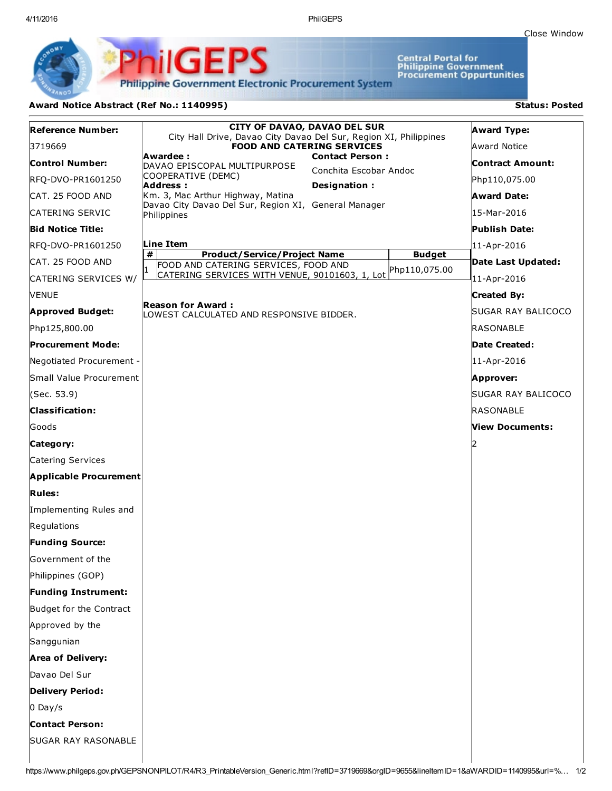Close [Window](javascript:window.close();)

Central Portal for<br>Philippine Government<br>Procurement Oppurtunities

**Philippine Government Electronic Procurement System** 

PhilGEPS

## Award Notice Abstract (Ref No.: 1140995) Status: Posted

| <b>Reference Number:</b>      | <b>CITY OF DAVAO, DAVAO DEL SUR</b>                                                                    |                                | <b>Award Type:</b>      |
|-------------------------------|--------------------------------------------------------------------------------------------------------|--------------------------------|-------------------------|
| 3719669                       | City Hall Drive, Davao City Davao Del Sur, Region XI, Philippines<br><b>FOOD AND CATERING SERVICES</b> |                                | Award Notice            |
| <b>Control Number:</b>        | Awardee:<br><b>Contact Person:</b><br>DAVAO EPISCOPAL MULTIPURPOSE                                     |                                | <b>Contract Amount:</b> |
| RFQ-DVO-PR1601250             | Conchita Escobar Andoc<br>COOPERATIVE (DEMC)<br>Address:<br>Designation:                               |                                | Php110,075.00           |
| CAT. 25 FOOD AND              | Km. 3, Mac Arthur Highway, Matina                                                                      |                                | <b>Award Date:</b>      |
| CATERING SERVIC               | Davao City Davao Del Sur, Region XI, General Manager<br>Philippines                                    |                                | 15-Mar-2016             |
| <b>Bid Notice Title:</b>      |                                                                                                        |                                | <b>Publish Date:</b>    |
| RFQ-DVO-PR1601250             | Line Item                                                                                              |                                | 11-Apr-2016             |
| CAT. 25 FOOD AND              | #<br><b>Product/Service/Project Name</b><br>FOOD AND CATERING SERVICES, FOOD AND                       | <b>Budget</b><br>Php110,075.00 | Date Last Updated:      |
| CATERING SERVICES W/          | CATERING SERVICES WITH VENUE, 90101603, 1, Lot                                                         |                                | 11-Apr-2016             |
| <b>NENUE</b>                  |                                                                                                        |                                | <b>Created By:</b>      |
| <b>Approved Budget:</b>       | <b>Reason for Award:</b><br>LOWEST CALCULATED AND RESPONSIVE BIDDER.                                   |                                | SUGAR RAY BALICOCO      |
| Php125,800.00                 |                                                                                                        |                                | RASONABLE               |
| <b>Procurement Mode:</b>      |                                                                                                        |                                | <b>Date Created:</b>    |
| Negotiated Procurement -      |                                                                                                        |                                | 11-Apr-2016             |
| Small Value Procurement       |                                                                                                        |                                | Approver:               |
| (Sec. 53.9)                   |                                                                                                        |                                | SUGAR RAY BALICOCO      |
| <b>Classification:</b>        |                                                                                                        |                                | RASONABLE               |
| Goods                         |                                                                                                        |                                | View Documents:         |
| Category:                     |                                                                                                        |                                |                         |
| Catering Services             |                                                                                                        |                                |                         |
| <b>Applicable Procurement</b> |                                                                                                        |                                |                         |
| <b>Rules:</b>                 |                                                                                                        |                                |                         |
| Implementing Rules and        |                                                                                                        |                                |                         |
| Regulations                   |                                                                                                        |                                |                         |
| <b>Funding Source:</b>        |                                                                                                        |                                |                         |
| Government of the             |                                                                                                        |                                |                         |
| Philippines (GOP)             |                                                                                                        |                                |                         |
| <b>Funding Instrument:</b>    |                                                                                                        |                                |                         |
| Budget for the Contract       |                                                                                                        |                                |                         |
| Approved by the               |                                                                                                        |                                |                         |
| Sanggunian                    |                                                                                                        |                                |                         |
| <b>Area of Delivery:</b>      |                                                                                                        |                                |                         |
| Davao Del Sur                 |                                                                                                        |                                |                         |
| <b>Delivery Period:</b>       |                                                                                                        |                                |                         |
| $0$ Day/s                     |                                                                                                        |                                |                         |
| <b>Contact Person:</b>        |                                                                                                        |                                |                         |
| <b>SUGAR RAY RASONABLE</b>    |                                                                                                        |                                |                         |
|                               |                                                                                                        |                                |                         |